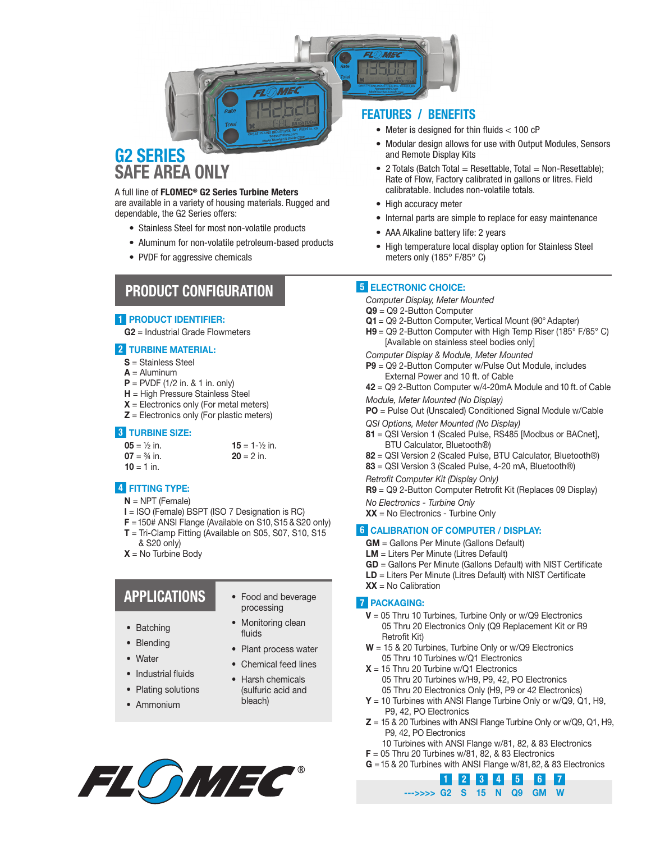

# SAFE AREA ONLY

#### A full line of FLOMEC® G2 Series Turbine Meters

are available in a variety of housing materials. Rugged and dependable, the G2 Series offers:

- Stainless Steel for most non-volatile products
- Aluminum for non-volatile petroleum-based products
- PVDF for aggressive chemicals

## PRODUCT CONFIGURATION

#### 1 PRODUCT IDENTIFIER:

G2 = Industrial Grade Flowmeters

#### 2 TURBINE MATERIAL:

- S = Stainless Steel
- $A =$  Aluminum
- $P = PVDF (1/2 in. 8.1 in. only)$
- H = High Pressure Stainless Steel
- $X =$  Electronics only (For metal meters)
- $Z =$  Electronics only (For plastic meters)

#### 3 TURBINE SIZE:

| $05 = \frac{1}{2}$ in. | $15 = 1 - \frac{1}{2}$ in. |
|------------------------|----------------------------|
| $07 = 3/4$ in.         | $20 = 2$ in.               |
| $10 = 1$ in.           |                            |

#### 4 FITTING TYPE:

- $N = NPT$  (Female)
- I = ISO (Female) BSPT (ISO 7 Designation is RC)
- $F = 150$ # ANSI Flange (Available on S10, S15 & S20 only)
- $T = Tri-C$ lamp Fitting (Available on S05, S07, S10, S15 & S20 only)
- $X = No$  Turbine Body

# APPLICATIONS

- Batching
- Blending
- Water
- Industrial fluids
- Plating solutions
- Ammonium
- Food and beverage processing
- Monitoring clean fluids
- Plant process water
- Chemical feed lines
- Harsh chemicals (sulfuric acid and
- bleach)



#### FEATURES / BENEFITS

- Meter is designed for thin fluids < 100 cP
- Modular design allows for use with Output Modules, Sensors and Remote Display Kits
- $\bullet$  2 Totals (Batch Total = Resettable, Total = Non-Resettable); Rate of Flow, Factory calibrated in gallons or litres. Field calibratable. Includes non-volatile totals.
- High accuracy meter
- Internal parts are simple to replace for easy maintenance
- AAA Alkaline battery life: 2 years
- High temperature local display option for Stainless Steel meters only (185° F/85° C)

#### 5 ELECTRONIC CHOICE:

*Computer Display, Meter Mounted*

- Q9 = Q9 2-Button Computer
- Q1 = Q9 2-Button Computer, Vertical Mount (90° Adapter)
- $H9 = Q9$  2-Button Computer with High Temp Riser (185 $\degree$  F/85 $\degree$  C) [Available on stainless steel bodies only]
- *Computer Display & Module, Meter Mounted*
- P9 = Q9 2-Button Computer w/Pulse Out Module, includes External Power and 10 ft. of Cable
- 42 = Q9 2-Button Computer w/4-20mA Module and 10 ft. of Cable
- *Module, Meter Mounted (No Display)*
- PO = Pulse Out (Unscaled) Conditioned Signal Module w/Cable
- *QSI Options, Meter Mounted (No Display)*
- 81 = QSI Version 1 (Scaled Pulse, RS485 [Modbus or BACnet], BTU Calculator, Bluetooth®)
- 82 = QSI Version 2 (Scaled Pulse, BTU Calculator, Bluetooth®)
- 83 = QSI Version 3 (Scaled Pulse, 4-20 mA, Bluetooth®)
- *Retrofit Computer Kit (Display Only)*
- R9 = Q9 2-Button Computer Retrofit Kit (Replaces 09 Display)

*No Electronics - Turbine Only*

 $XX = No$  Electronics - Turbine Only

#### 6 CALIBRATION OF COMPUTER / DISPLAY:

- GM = Gallons Per Minute (Gallons Default)
- LM = Liters Per Minute (Litres Default)
- GD = Gallons Per Minute (Gallons Default) with NIST Certificate
- LD = Liters Per Minute (Litres Default) with NIST Certificate
- $XX = No$  Calibration

### **7 PACKAGING:**

- $V = 05$  Thru 10 Turbines, Turbine Only or w/Q9 Electronics 05 Thru 20 Electronics Only (Q9 Replacement Kit or R9 Retrofit Kit)
- $W = 15$  & 20 Turbines, Turbine Only or w/Q9 Electronics 05 Thru 10 Turbines w/Q1 Electronics
- $X = 15$  Thru 20 Turbine w/Q1 Electronics 05 Thru 20 Turbines w/H9, P9, 42, PO Electronics 05 Thru 20 Electronics Only (H9, P9 or 42 Electronics)
- Y = 10 Turbines with ANSI Flange Turbine Only or w/Q9, Q1, H9, P9, 42, PO Electronics
- $Z = 15$  & 20 Turbines with ANSI Flange Turbine Only or w/Q9, Q1, H9, P9, 42, PO Electronics

1 2 3 4 5 6

10 Turbines with ANSI Flange w/81, 82, & 83 Electronics  $F = 05$  Thru 20 Turbines w/81, 82, & 83 Electronics

--->>>> G2 S 15 N Q9 GM W

G = 15 & 20 Turbines with ANSI Flange w/81, 82, & 83 Electronics